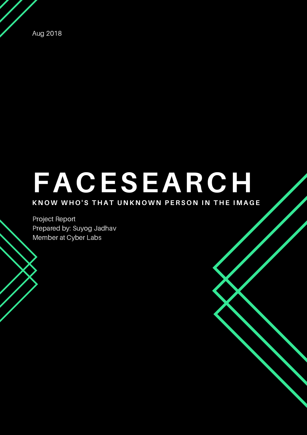Aug 2018

# **FACESEARCH**

#### KNOW WHO'S THAT UNKNOWN PERSON IN THE IMAGE

Project Report Prepared by: Suyog Jadhav Member at Cyber Labs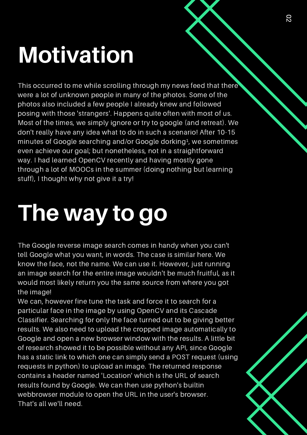### **Motivation**

This occurred to me while scrolling through my news feed that there were a lot of unknown people in many of the photos. Some of the photos also included a few people I already knew and followed posing with those 'strangers'. Happens quite often with most of us. Most of the times, we simply ignore or try to google (and retreat). We don't really have any idea what to do in such a scenario! After 10-15 minutes of Google searching and/or Google dorking<sup>1</sup>, we sometimes even achieve our goal; but nonetheless, not in a straightforward way. I had learned OpenCV recently and having mostly gone through a lot of MOOCs in the summer (doing nothing but learning stuff), I thought why not give it a try!

### **The way to go**

The Google reverse image search comes in handy when you can't tell Google what you want, in words. The case is similar here. We know the face, not the name. We can use it. However, just running an image search for the entire image wouldn't be much fruitful, as it would most likely return you the same source from where you got the image!

We can, however fine tune the task and force it to search for a particular face in the image by using OpenCV and its Cascade Classifier. Searching for only the face turned out to be giving better results. We also need to upload the cropped image automatically to Google and open a new browser window with the results. A little bit of research showed it to be possible without any API, since Google has a static link to which one can simply send a POST request (using requests in python) to upload an image. The returned response contains a header named 'Location' which is the URL of search results found by Google. We can then use python's builtin webbrowser module to open the URL in the user's browser. That's all we'll need.



0 2